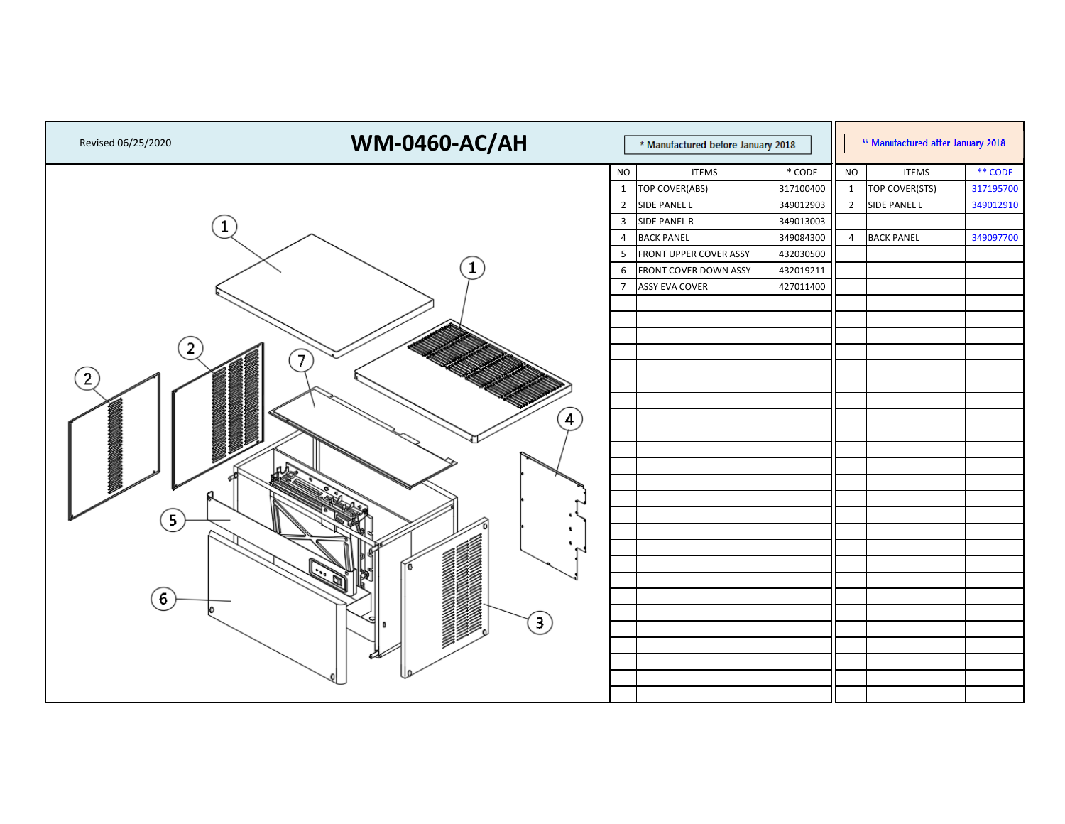| Revised 06/25/2020 | <b>WM-0460-AC/AH</b>                                                                                                                       | * Manufactured before January 2018 |                               |           |                | ** Manufactured after January 2018 |           |  |  |
|--------------------|--------------------------------------------------------------------------------------------------------------------------------------------|------------------------------------|-------------------------------|-----------|----------------|------------------------------------|-----------|--|--|
|                    |                                                                                                                                            | <b>NO</b>                          | <b>ITEMS</b>                  | $*$ CODE  | <b>NO</b>      | <b>ITEMS</b>                       | ** CODE   |  |  |
|                    |                                                                                                                                            | $\mathbf{1}$                       | TOP COVER(ABS)                | 317100400 | $\mathbf{1}$   | TOP COVER(STS)                     | 317195700 |  |  |
|                    |                                                                                                                                            |                                    | 2 SIDE PANEL L                | 349012903 | $\overline{2}$ | SIDE PANEL L                       | 349012910 |  |  |
|                    |                                                                                                                                            | $\mathbf{3}$                       | SIDE PANEL R                  | 349013003 |                |                                    |           |  |  |
|                    |                                                                                                                                            | 4                                  | <b>BACK PANEL</b>             | 349084300 | $\overline{4}$ | <b>BACK PANEL</b>                  | 349097700 |  |  |
|                    |                                                                                                                                            | 5                                  | <b>FRONT UPPER COVER ASSY</b> | 432030500 |                |                                    |           |  |  |
|                    | 1                                                                                                                                          | 6                                  | <b>FRONT COVER DOWN ASSY</b>  | 432019211 |                |                                    |           |  |  |
|                    |                                                                                                                                            | $\overline{7}$                     | <b>ASSY EVA COVER</b>         | 427011400 |                |                                    |           |  |  |
|                    |                                                                                                                                            |                                    |                               |           |                |                                    |           |  |  |
|                    |                                                                                                                                            |                                    |                               |           |                |                                    |           |  |  |
|                    |                                                                                                                                            |                                    |                               |           |                |                                    |           |  |  |
| 2                  | $\left(7\right)$                                                                                                                           |                                    |                               |           |                |                                    |           |  |  |
| $\overline{2}$     |                                                                                                                                            |                                    |                               |           |                |                                    |           |  |  |
|                    |                                                                                                                                            |                                    |                               |           |                |                                    |           |  |  |
|                    |                                                                                                                                            |                                    |                               |           |                |                                    |           |  |  |
|                    | $\left( 4\right)$                                                                                                                          |                                    |                               |           |                |                                    |           |  |  |
|                    |                                                                                                                                            |                                    |                               |           |                |                                    |           |  |  |
|                    |                                                                                                                                            |                                    |                               |           |                |                                    |           |  |  |
|                    |                                                                                                                                            |                                    |                               |           |                |                                    |           |  |  |
|                    |                                                                                                                                            |                                    |                               |           |                |                                    |           |  |  |
|                    |                                                                                                                                            |                                    |                               |           |                |                                    |           |  |  |
| $\vert 5 \vert$    |                                                                                                                                            |                                    |                               |           |                |                                    |           |  |  |
|                    | ۰<br>$\sim$                                                                                                                                |                                    |                               |           |                |                                    |           |  |  |
|                    |                                                                                                                                            |                                    |                               |           |                |                                    |           |  |  |
|                    | IKI<br>匈                                                                                                                                   |                                    |                               |           |                |                                    |           |  |  |
| $\left[ 6\right]$  |                                                                                                                                            |                                    |                               |           |                |                                    |           |  |  |
|                    |                                                                                                                                            |                                    |                               |           |                |                                    |           |  |  |
|                    | <b>SOUTH AND STATES OF THE STATES OF THE STATES OF THE STATES OF THE STATES OF THE STATES OF THE STATES OF THE ST</b><br>s<br>$\mathbf{3}$ |                                    |                               |           |                |                                    |           |  |  |
|                    |                                                                                                                                            |                                    |                               |           |                |                                    |           |  |  |
|                    |                                                                                                                                            |                                    |                               |           |                |                                    |           |  |  |
|                    |                                                                                                                                            |                                    |                               |           |                |                                    |           |  |  |
|                    |                                                                                                                                            |                                    |                               |           |                |                                    |           |  |  |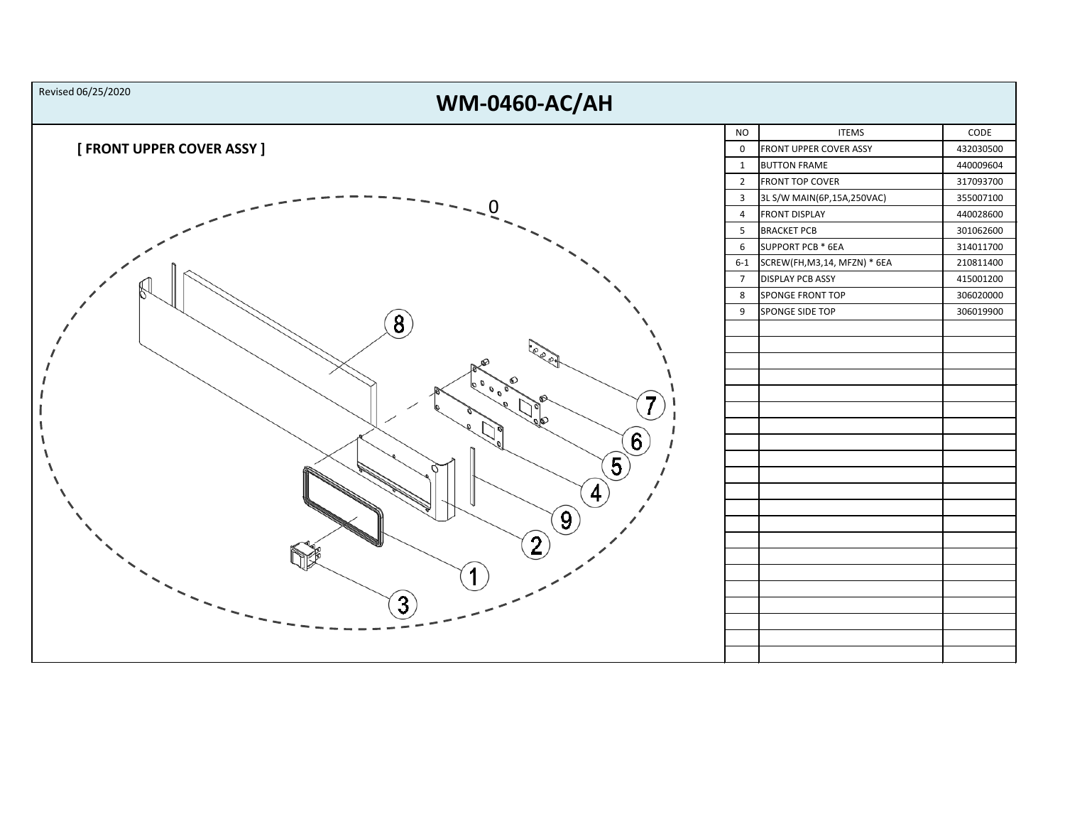| Revised 06/25/2020<br><b>WM-0460-AC/AH</b> |                |                                   |           |
|--------------------------------------------|----------------|-----------------------------------|-----------|
|                                            | <b>NO</b>      | <b>ITEMS</b>                      | CODE      |
| [ FRONT UPPER COVER ASSY ]                 | 0              | <b>FRONT UPPER COVER ASSY</b>     | 432030500 |
|                                            | $\mathbf{1}$   | <b>BUTTON FRAME</b>               | 440009604 |
|                                            | $\overline{2}$ | <b>FRONT TOP COVER</b>            | 317093700 |
|                                            | $\mathbf{3}$   | 3L S/W MAIN(6P,15A,250VAC)        | 355007100 |
|                                            | 4              | <b>FRONT DISPLAY</b>              | 440028600 |
|                                            | 5              | <b>BRACKET PCB</b>                | 301062600 |
|                                            | 6              | SUPPORT PCB * 6EA                 | 314011700 |
|                                            |                | 6-1 SCREW(FH, M3, 14, MFZN) * 6EA | 210811400 |
|                                            | $\overline{7}$ | <b>DISPLAY PCB ASSY</b>           | 415001200 |
|                                            | 8              | SPONGE FRONT TOP                  | 306020000 |
|                                            | 9              | SPONGE SIDE TOP                   | 306019900 |
| $\left[8\right)$                           |                |                                   |           |
|                                            |                |                                   |           |
| ଛ                                          |                |                                   |           |
|                                            |                |                                   |           |
|                                            |                |                                   |           |
|                                            |                |                                   |           |
|                                            |                |                                   |           |
| $\left[ 6\right)$                          |                |                                   |           |
| $\left[5\right]$                           |                |                                   |           |
|                                            |                |                                   |           |
| 4                                          |                |                                   |           |
|                                            |                |                                   |           |
| $\left[9\right]$                           |                |                                   |           |
| 2 <sub>l</sub>                             |                |                                   |           |
|                                            |                |                                   |           |
|                                            |                |                                   |           |
|                                            |                |                                   |           |
| 3                                          |                |                                   |           |
|                                            |                |                                   |           |
|                                            |                |                                   |           |
|                                            |                |                                   |           |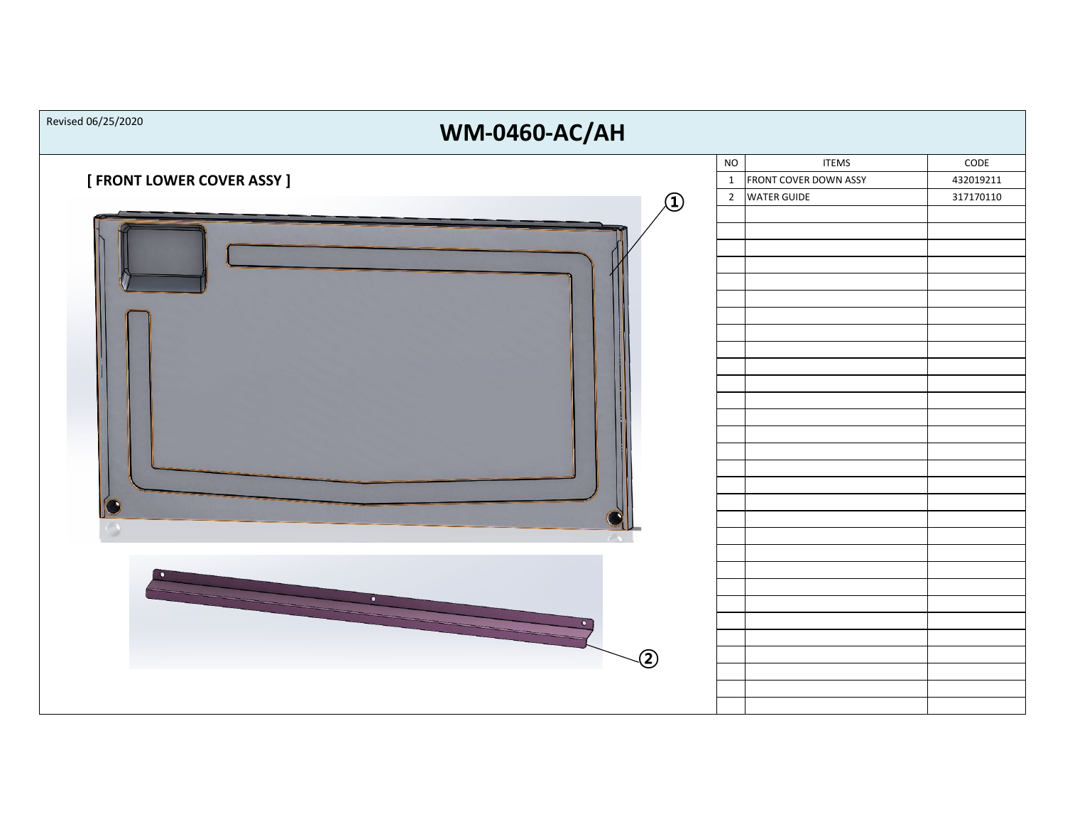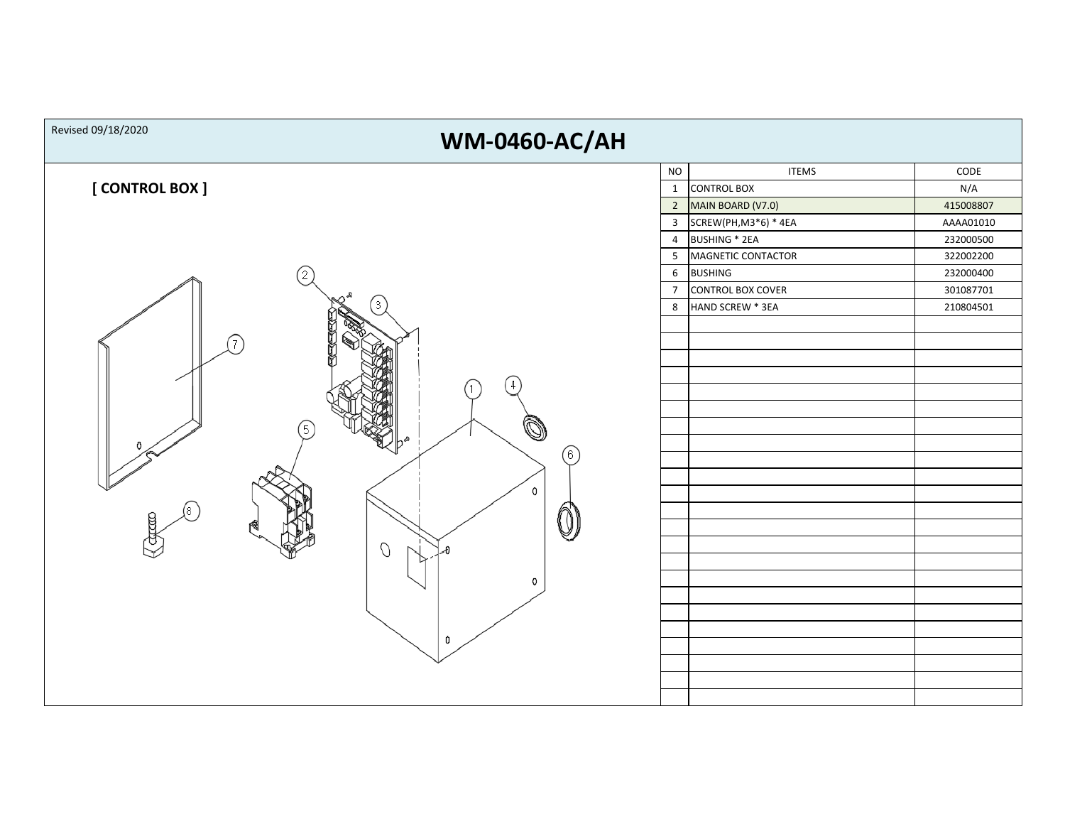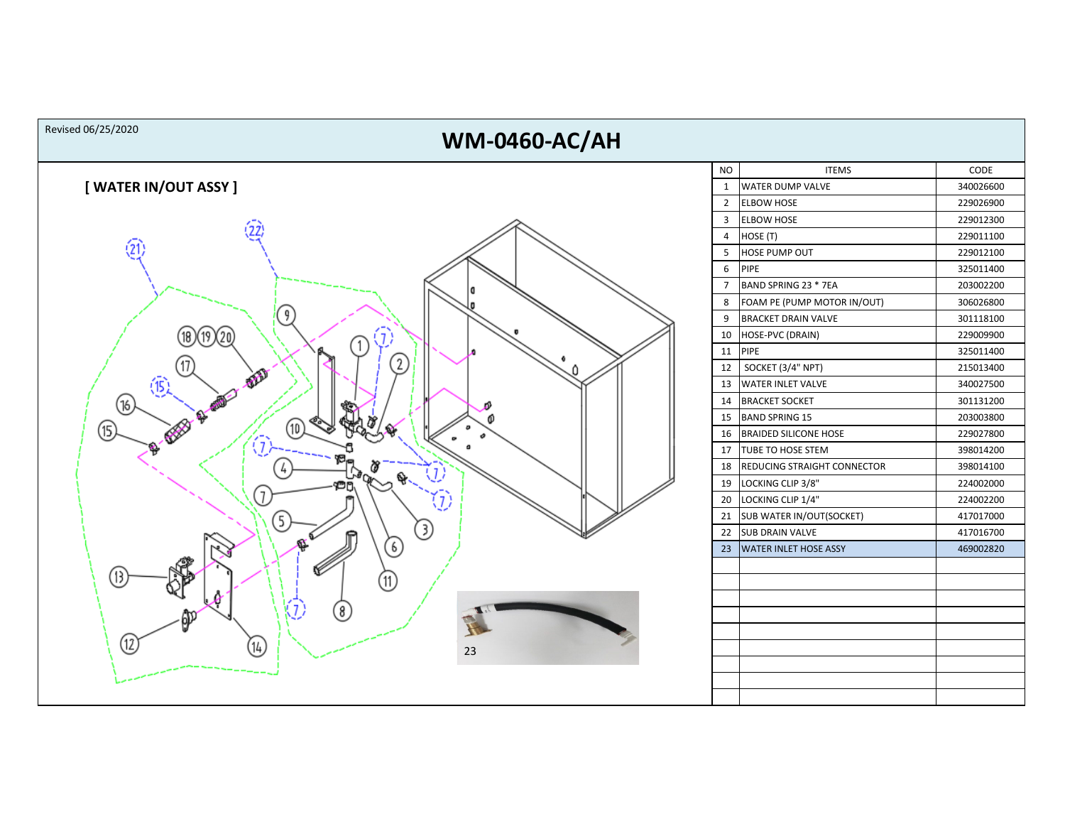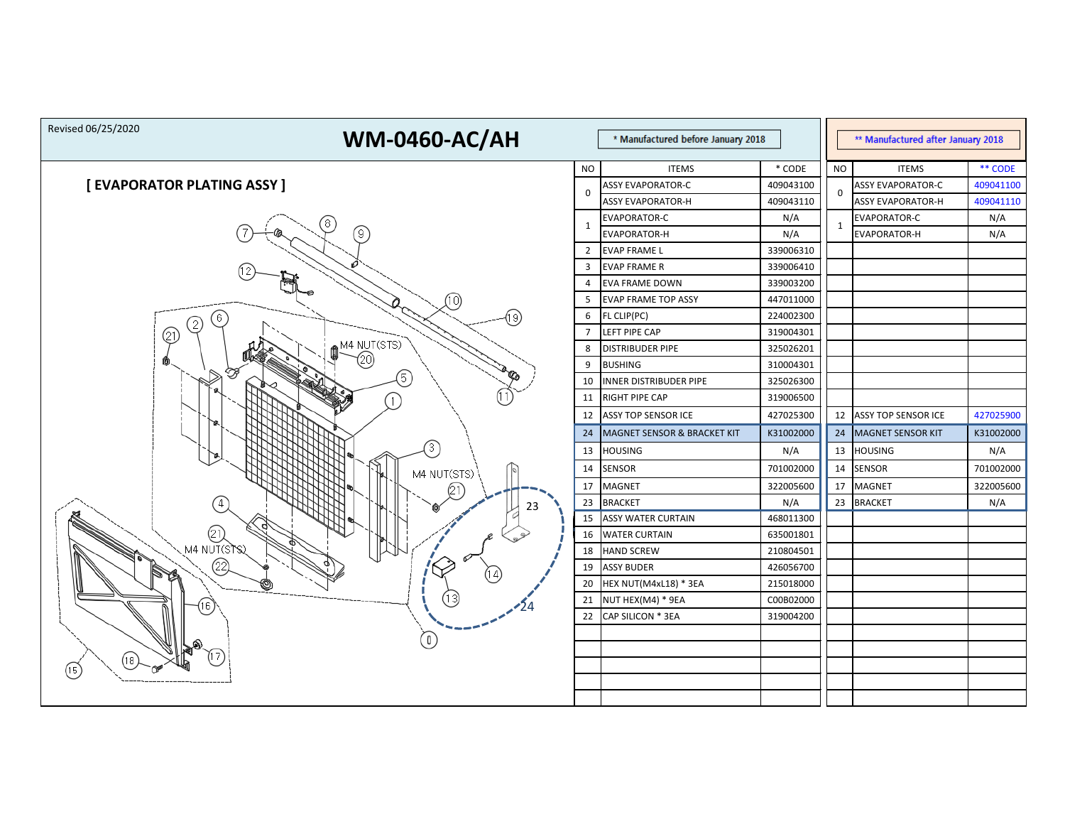| Revised 06/25/2020<br><b>WM-0460-AC/AH</b><br>* Manufactured before January 2018 |                |                             |           | ** Manufactured after January 2018 |                            |           |
|----------------------------------------------------------------------------------|----------------|-----------------------------|-----------|------------------------------------|----------------------------|-----------|
|                                                                                  | <b>NO</b>      | <b>ITEMS</b>                | * CODE    | <b>NO</b>                          | <b>ITEMS</b>               | ** CODE   |
| [ EVAPORATOR PLATING ASSY ]                                                      | $\mathbf 0$    | <b>ASSY EVAPORATOR-C</b>    | 409043100 |                                    | <b>ASSY EVAPORATOR-C</b>   | 409041100 |
|                                                                                  |                | <b>ASSY EVAPORATOR-H</b>    | 409043110 | 0                                  | <b>ASSY EVAPORATOR-H</b>   | 409041110 |
| 8                                                                                | $\mathbf{1}$   | <b>EVAPORATOR-C</b>         | N/A       | 1                                  | EVAPORATOR-C               | N/A       |
| 9)                                                                               |                | <b>EVAPORATOR-H</b>         | N/A       |                                    | <b>EVAPORATOR-H</b>        | N/A       |
|                                                                                  | $\overline{2}$ | <b>EVAP FRAME L</b>         | 339006310 |                                    |                            |           |
|                                                                                  | 3              | <b>EVAP FRAME R</b>         | 339006410 |                                    |                            |           |
|                                                                                  | 4              | <b>EVA FRAME DOWN</b>       | 339003200 |                                    |                            |           |
| (10)                                                                             | 5              | <b>EVAP FRAME TOP ASSY</b>  | 447011000 |                                    |                            |           |
| (19)<br>6                                                                        | 6              | FL CLIP(PC)                 | 224002300 |                                    |                            |           |
| (21)                                                                             | $\overline{7}$ | LEFT PIPE CAP               | 319004301 |                                    |                            |           |
| M4 NUT(STS)                                                                      | 8              | DISTRIBUDER PIPE            | 325026201 |                                    |                            |           |
| 20)<br>RE<br>B                                                                   | 9              | <b>BUSHING</b>              | 310004301 |                                    |                            |           |
| (5)                                                                              | 10             | INNER DISTRIBUDER PIPE      | 325026300 |                                    |                            |           |
|                                                                                  | 11             | RIGHT PIPE CAP              | 319006500 |                                    |                            |           |
|                                                                                  | 12             | ASSY TOP SENSOR ICE         | 427025300 | 12                                 | <b>ASSY TOP SENSOR ICE</b> | 427025900 |
|                                                                                  | 24             | MAGNET SENSOR & BRACKET KIT | K31002000 | 24                                 | MAGNET SENSOR KIT          | K31002000 |
| (3)                                                                              | 13             | <b>HOUSING</b>              | N/A       | 13                                 | <b>HOUSING</b>             | N/A       |
| M4 NUT(STS)                                                                      | 14             | <b>SENSOR</b>               | 701002000 | 14                                 | <b>SENSOR</b>              | 701002000 |
|                                                                                  | 17             | <b>MAGNET</b>               | 322005600 | 17                                 | <b>MAGNET</b>              | 322005600 |
| 23                                                                               | 23             | <b>BRACKET</b>              | N/A       | 23                                 | <b>BRACKET</b>             | N/A       |
|                                                                                  | 15             | <b>ASSY WATER CURTAIN</b>   | 468011300 |                                    |                            |           |
| (21)                                                                             | 16             | <b>WATER CURTAIN</b>        | 635001801 |                                    |                            |           |
| M4 NUT(STS)                                                                      | 18             | <b>HAND SCREW</b>           | 210804501 |                                    |                            |           |
| 22)                                                                              | 19             | <b>ASSY BUDER</b>           | 426056700 |                                    |                            |           |
| ⋓                                                                                | 20             | HEX NUT(M4xL18) * 3EA       | 215018000 |                                    |                            |           |
| 13)<br>16.                                                                       | 21             | NUT HEX(M4) * 9EA           | C00B02000 |                                    |                            |           |
|                                                                                  | 22             | CAP SILICON * 3EA           | 319004200 |                                    |                            |           |
|                                                                                  |                |                             |           |                                    |                            |           |
|                                                                                  |                |                             |           |                                    |                            |           |
| 18.<br>(15)                                                                      |                |                             |           |                                    |                            |           |
|                                                                                  |                |                             |           |                                    |                            |           |
|                                                                                  |                |                             |           |                                    |                            |           |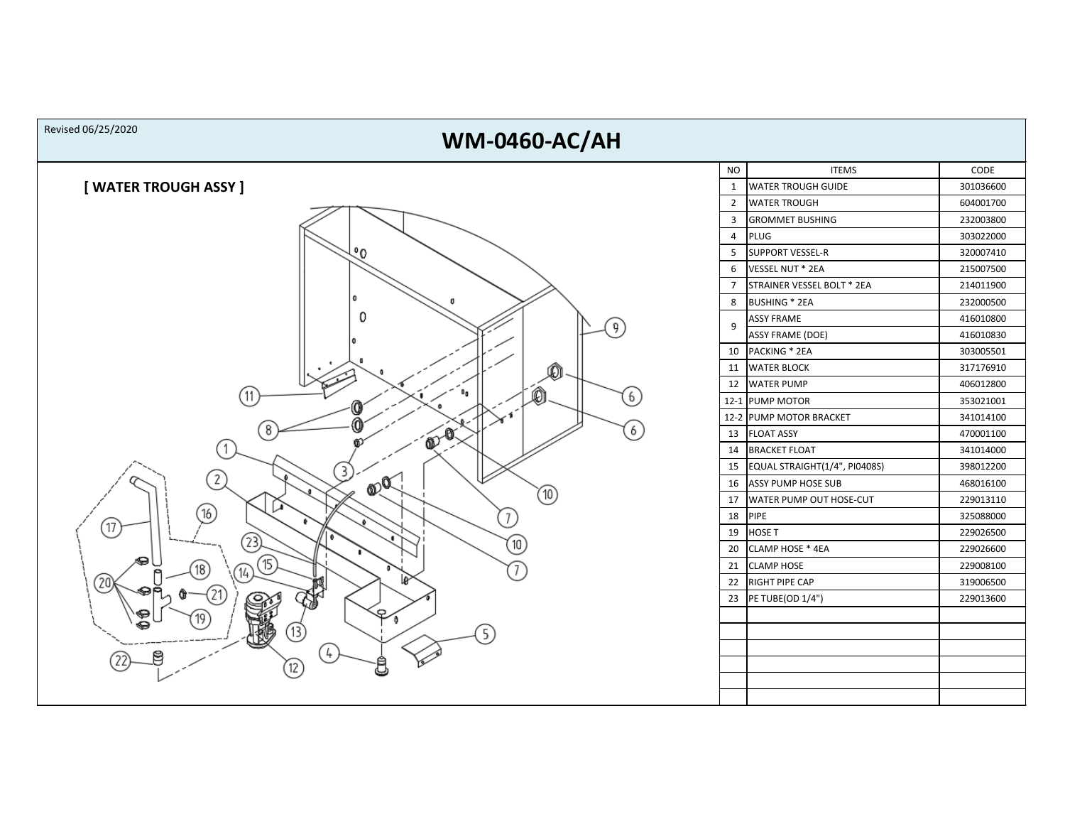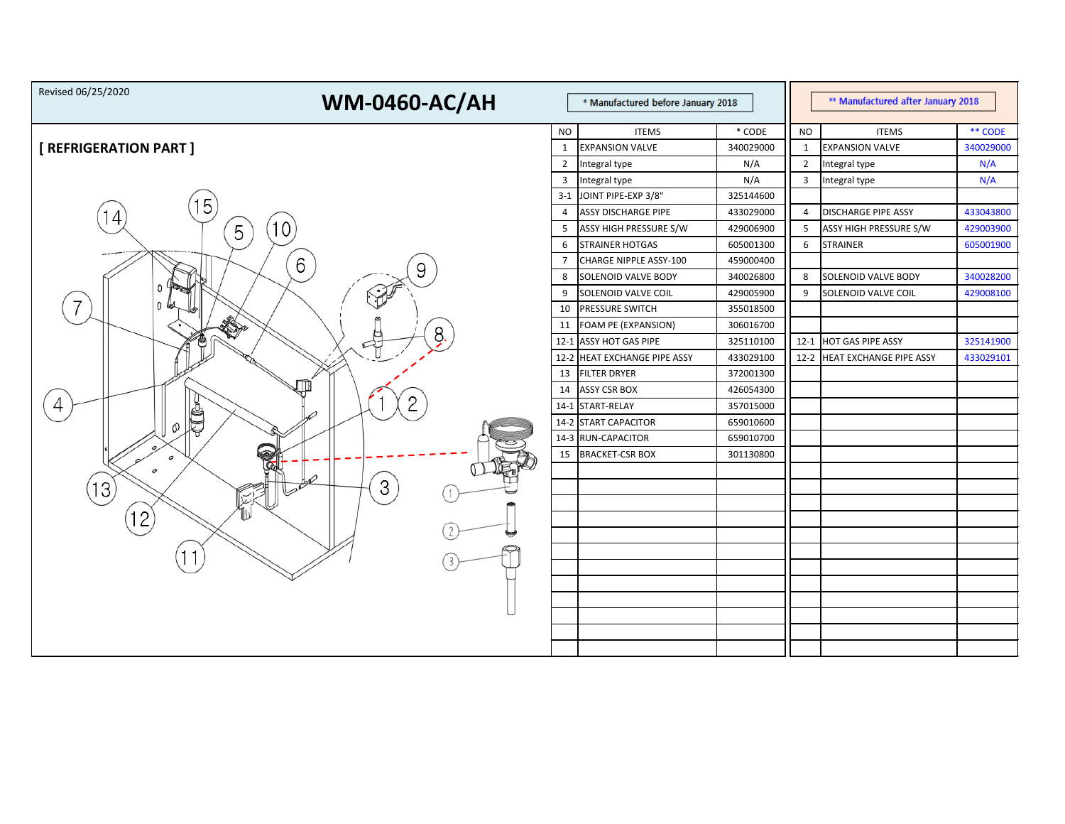| Revised 06/25/2020<br><b>WM-0460-AC/AH</b><br>* Manufactured before January 2018 |                |                              |           | ** Manufactured after January 2018 |                            |           |  |
|----------------------------------------------------------------------------------|----------------|------------------------------|-----------|------------------------------------|----------------------------|-----------|--|
|                                                                                  | <b>NO</b>      | <b>ITEMS</b>                 | $*$ CODE  | <b>NO</b>                          | <b>ITEMS</b>               | ** CODE   |  |
| [ REFRIGERATION PART ]                                                           | $\mathbf{1}$   | <b>EXPANSION VALVE</b>       | 340029000 | $\mathbf{1}$                       | <b>EXPANSION VALVE</b>     | 340029000 |  |
|                                                                                  | $\overline{2}$ | Integral type                | N/A       | $\overline{2}$                     | Integral type              | N/A       |  |
|                                                                                  | $\overline{3}$ | Integral type                | N/A       | $\overline{\mathbf{3}}$            | Integral type              | N/A       |  |
|                                                                                  |                | 3-1 JOINT PIPE-EXP 3/8"      | 325144600 |                                    |                            |           |  |
| 5<br>4                                                                           | 4              | <b>ASSY DISCHARGE PIPE</b>   | 433029000 | 4                                  | <b>DISCHARGE PIPE ASSY</b> | 433043800 |  |
| 10<br>5                                                                          | 5              | ASSY HIGH PRESSURE S/W       | 429006900 | 5                                  | ASSY HIGH PRESSURE S/W     | 429003900 |  |
| ----                                                                             | 6              | <b>STRAINER HOTGAS</b>       | 605001300 | 6                                  | <b>STRAINER</b>            | 605001900 |  |
| 6                                                                                | $\overline{7}$ | CHARGE NIPPLE ASSY-100       | 459000400 |                                    |                            |           |  |
|                                                                                  | 8              | SOLENOID VALVE BODY          | 340026800 | 8                                  | <b>SOLENOID VALVE BODY</b> | 340028200 |  |
| 0                                                                                | 9              | SOLENOID VALVE COIL          | 429005900 | 9                                  | SOLENOID VALVE COIL        | 429008100 |  |
|                                                                                  | 10             | PRESSURE SWITCH              | 355018500 |                                    |                            |           |  |
| 8.                                                                               | 11             | FOAM PE (EXPANSION)          | 306016700 |                                    |                            |           |  |
|                                                                                  |                | 12-1 ASSY HOT GAS PIPE       | 325110100 | $12-1$                             | <b>HOT GAS PIPE ASSY</b>   | 325141900 |  |
|                                                                                  |                | 12-2 HEAT EXCHANGE PIPE ASSY | 433029100 | $12-2$                             | HEAT EXCHANGE PIPE ASSY    | 433029101 |  |
|                                                                                  | 13             | <b>FILTER DRYER</b>          | 372001300 |                                    |                            |           |  |
|                                                                                  | 14             | <b>ASSY CSR BOX</b>          | 426054300 |                                    |                            |           |  |
| 4                                                                                |                | 14-1 START-RELAY             | 357015000 |                                    |                            |           |  |
| J<br>Ø                                                                           |                | 14-2 START CAPACITOR         | 659010600 |                                    |                            |           |  |
|                                                                                  |                | 14-3 RUN-CAPACITOR           | 659010700 |                                    |                            |           |  |
| ଇ<br>0                                                                           | 15             | <b>BRACKET-CSR BOX</b>       | 301130800 |                                    |                            |           |  |
| 0                                                                                |                |                              |           |                                    |                            |           |  |
| 3<br>13                                                                          |                |                              |           |                                    |                            |           |  |
|                                                                                  |                |                              |           |                                    |                            |           |  |
| 12                                                                               |                |                              |           |                                    |                            |           |  |
|                                                                                  |                |                              |           |                                    |                            |           |  |
|                                                                                  |                |                              |           |                                    |                            |           |  |
|                                                                                  |                |                              |           |                                    |                            |           |  |
|                                                                                  |                |                              |           |                                    |                            |           |  |
|                                                                                  |                |                              |           |                                    |                            |           |  |
|                                                                                  |                |                              |           |                                    |                            |           |  |
|                                                                                  |                |                              |           |                                    |                            |           |  |
|                                                                                  |                |                              |           |                                    |                            |           |  |